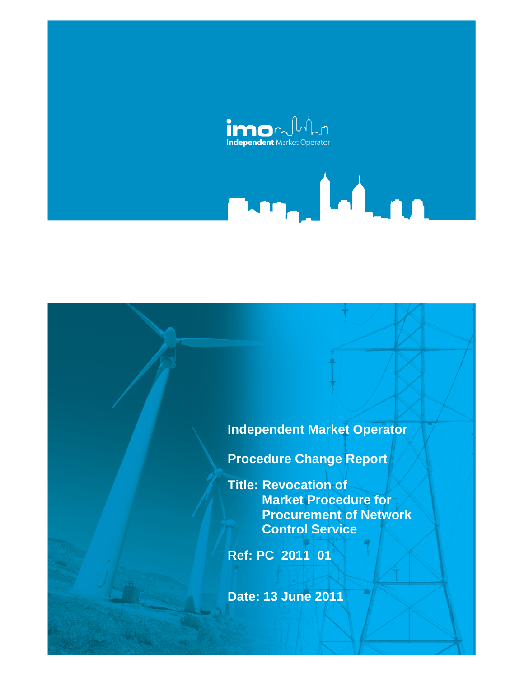

# **Independent Market Operator**

**Mary Lating** 

**Procedure Change Report** 

**Title: Revocation of Market Procedure for Procurement of Network Control Service** 

**Ref: PC\_2011\_01** 

**Date: 13 June 2011**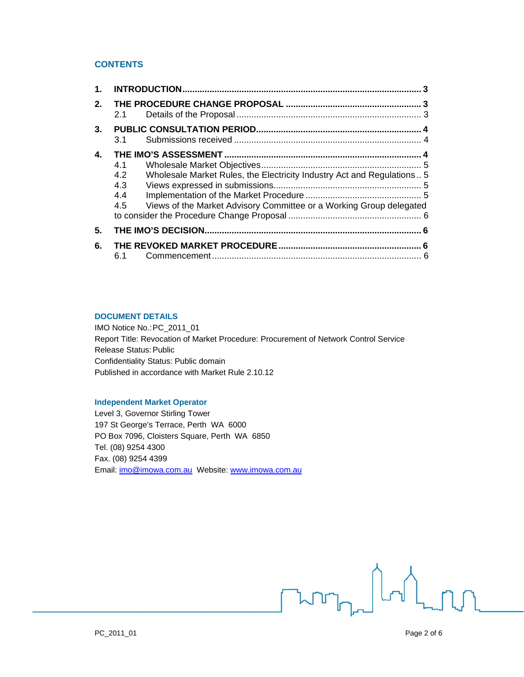# **CONTENTS**

| 1. |                                 |                                                                                                                                               |  |
|----|---------------------------------|-----------------------------------------------------------------------------------------------------------------------------------------------|--|
| 2. | 2.1                             |                                                                                                                                               |  |
| 3. | 3.1                             |                                                                                                                                               |  |
| 4. | 4.1<br>4.2<br>4.3<br>4.4<br>4.5 | Wholesale Market Rules, the Electricity Industry Act and Regulations 5<br>Views of the Market Advisory Committee or a Working Group delegated |  |
| 5. |                                 |                                                                                                                                               |  |
| 6. | 6.1                             |                                                                                                                                               |  |

#### **DOCUMENT DETAILS**

IMO Notice No.: PC\_2011\_01 Report Title: Revocation of Market Procedure: Procurement of Network Control Service Release Status: Public Confidentiality Status: Public domain Published in accordance with Market Rule 2.10.12

#### **Independent Market Operator**

Level 3, Governor Stirling Tower 197 St George's Terrace, Perth WA 6000 PO Box 7096, Cloisters Square, Perth WA 6850 Tel. (08) 9254 4300 Fax. (08) 9254 4399 Email: imo@imowa.com.au Website: www.imowa.com.au

**Fun<sub>ne</sub>**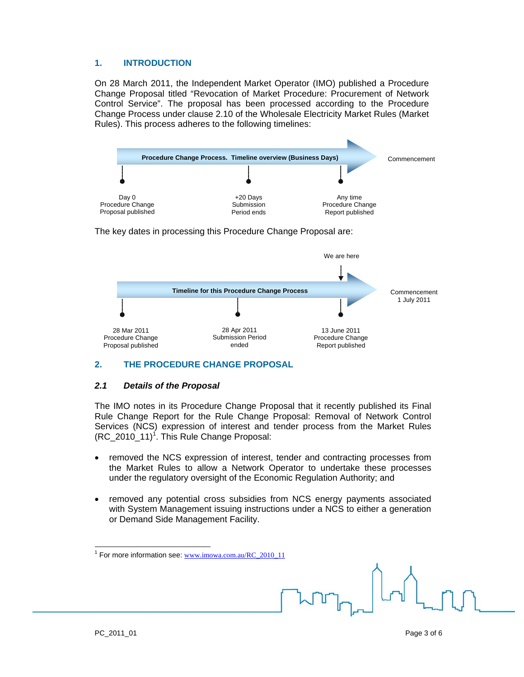# **1. INTRODUCTION**

On 28 March 2011, the Independent Market Operator (IMO) published a Procedure Change Proposal titled "Revocation of Market Procedure: Procurement of Network Control Service". The proposal has been processed according to the Procedure Change Process under clause 2.10 of the Wholesale Electricity Market Rules (Market Rules). This process adheres to the following timelines:



The key dates in processing this Procedure Change Proposal are:



# **2. THE PROCEDURE CHANGE PROPOSAL**

# *2.1 Details of the Proposal*

The IMO notes in its Procedure Change Proposal that it recently published its Final Rule Change Report for the Rule Change Proposal: Removal of Network Control Services (NCS) expression of interest and tender process from the Market Rules  $(RC_2010_11)^1$ . This Rule Change Proposal:

- removed the NCS expression of interest, tender and contracting processes from the Market Rules to allow a Network Operator to undertake these processes under the regulatory oversight of the Economic Regulation Authority; and
- removed any potential cross subsidies from NCS energy payments associated with System Management issuing instructions under a NCS to either a generation or Demand Side Management Facility.

<sup>1&</sup>lt;br><sup>1</sup> For more information see: www.imowa.com.au/RC\_2010\_11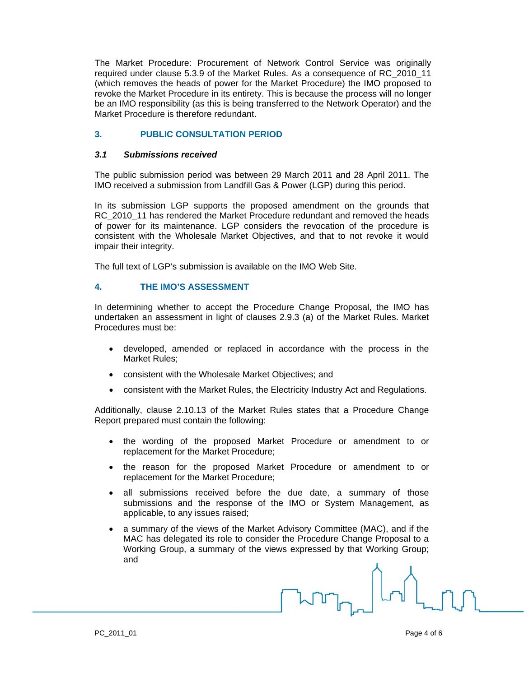The Market Procedure: Procurement of Network Control Service was originally required under clause 5.3.9 of the Market Rules. As a consequence of RC\_2010\_11 (which removes the heads of power for the Market Procedure) the IMO proposed to revoke the Market Procedure in its entirety. This is because the process will no longer be an IMO responsibility (as this is being transferred to the Network Operator) and the Market Procedure is therefore redundant.

# **3. PUBLIC CONSULTATION PERIOD**

#### *3.1 Submissions received*

The public submission period was between 29 March 2011 and 28 April 2011. The IMO received a submission from Landfill Gas & Power (LGP) during this period.

In its submission LGP supports the proposed amendment on the grounds that RC 2010 11 has rendered the Market Procedure redundant and removed the heads of power for its maintenance. LGP considers the revocation of the procedure is consistent with the Wholesale Market Objectives, and that to not revoke it would impair their integrity.

The full text of LGP's submission is available on the IMO Web Site.

#### **4. THE IMO'S ASSESSMENT**

In determining whether to accept the Procedure Change Proposal, the IMO has undertaken an assessment in light of clauses 2.9.3 (a) of the Market Rules. Market Procedures must be:

- developed, amended or replaced in accordance with the process in the Market Rules;
- consistent with the Wholesale Market Objectives; and
- consistent with the Market Rules, the Electricity Industry Act and Regulations.

Additionally, clause 2.10.13 of the Market Rules states that a Procedure Change Report prepared must contain the following:

- the wording of the proposed Market Procedure or amendment to or replacement for the Market Procedure;
- the reason for the proposed Market Procedure or amendment to or replacement for the Market Procedure;
- all submissions received before the due date, a summary of those submissions and the response of the IMO or System Management, as applicable, to any issues raised;
- a summary of the views of the Market Advisory Committee (MAC), and if the MAC has delegated its role to consider the Procedure Change Proposal to a Working Group, a summary of the views expressed by that Working Group; and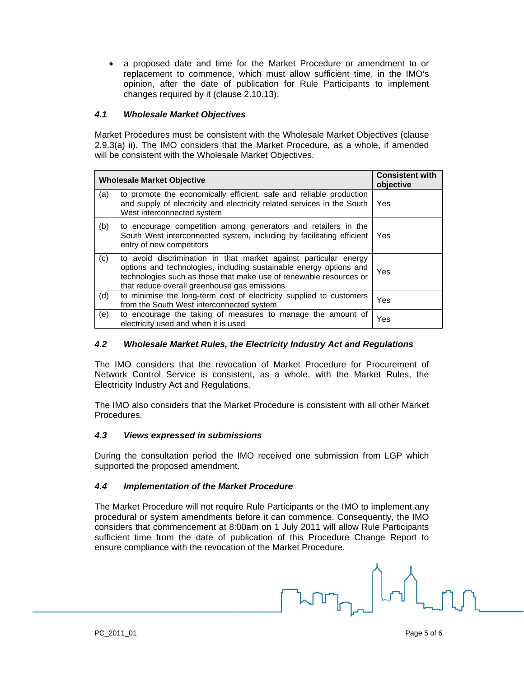a proposed date and time for the Market Procedure or amendment to or replacement to commence, which must allow sufficient time, in the IMO's opinion, after the date of publication for Rule Participants to implement changes required by it (clause 2.10.13).

# *4.1 Wholesale Market Objectives*

Market Procedures must be consistent with the Wholesale Market Objectives (clause 2.9.3(a) ii). The IMO considers that the Market Procedure, as a whole, if amended will be consistent with the Wholesale Market Objectives.

| <b>Wholesale Market Objective</b> | <b>Consistent with</b><br>objective                                                                                                                                                                                                                          |     |
|-----------------------------------|--------------------------------------------------------------------------------------------------------------------------------------------------------------------------------------------------------------------------------------------------------------|-----|
| (a)                               | to promote the economically efficient, safe and reliable production<br>and supply of electricity and electricity related services in the South<br>West interconnected system                                                                                 | Yes |
| (b)                               | to encourage competition among generators and retailers in the<br>South West interconnected system, including by facilitating efficient<br>entry of new competitors                                                                                          | Yes |
| (c)                               | to avoid discrimination in that market against particular energy<br>options and technologies, including sustainable energy options and<br>technologies such as those that make use of renewable resources or<br>that reduce overall greenhouse gas emissions | Yes |
| (d)                               | to minimise the long-term cost of electricity supplied to customers<br>from the South West interconnected system                                                                                                                                             | Yes |
| (e)                               | to encourage the taking of measures to manage the amount of<br>electricity used and when it is used                                                                                                                                                          | Yes |

# *4.2 Wholesale Market Rules, the Electricity Industry Act and Regulations*

The IMO considers that the revocation of Market Procedure for Procurement of Network Control Service is consistent, as a whole, with the Market Rules, the Electricity Industry Act and Regulations.

The IMO also considers that the Market Procedure is consistent with all other Market Procedures.

# *4.3 Views expressed in submissions*

During the consultation period the IMO received one submission from LGP which supported the proposed amendment.

# *4.4 Implementation of the Market Procedure*

The Market Procedure will not require Rule Participants or the IMO to implement any procedural or system amendments before it can commence. Consequently, the IMO considers that commencement at 8:00am on 1 July 2011 will allow Rule Participants sufficient time from the date of publication of this Procedure Change Report to ensure compliance with the revocation of the Market Procedure.